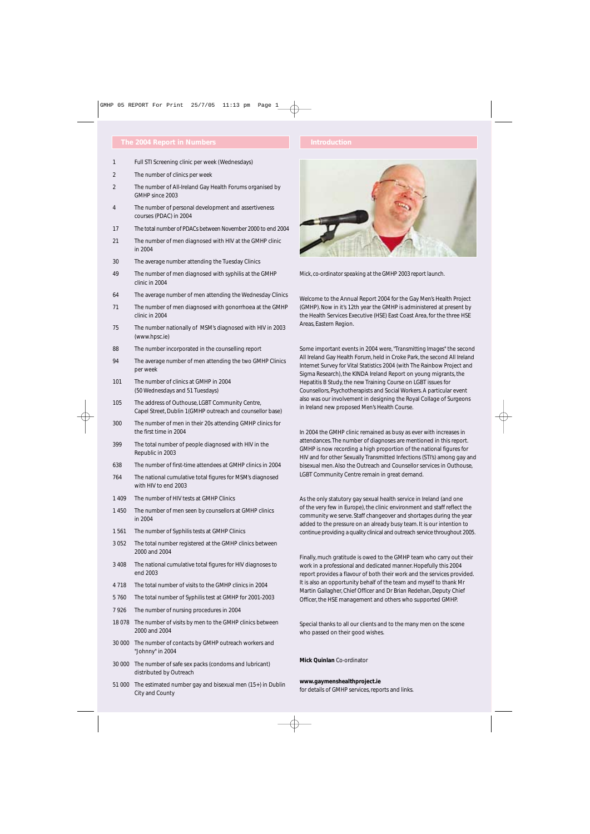- 1 Full STI Screening clinic per week (Wednesdays)
- 2 The number of clinics per week
- 2 The number of All-Ireland Gay Health Forums organised by GMHP since 2003
- 4 The number of personal development and assertiveness courses (PDAC) in 2004
- 17 The total number of PDACs between November 2000 to end 2004
- 21 The number of men diagnosed with HIV at the GMHP clinic in 2004
- 30 The average number attending the Tuesday Clinics
- 49 The number of men diagnosed with syphilis at the GMHP clinic in 2004
- 64 The average number of men attending the Wednesday Clinics
- 71 The number of men diagnosed with gonorrhoea at the GMHP clinic in 2004
- 75 The number nationally of MSM's diagnosed with HIV in 2003 (www.hpsc.ie)
- 88 The number incorporated in the counselling report
- 94 The average number of men attending the two GMHP Clinics per week
- 101 The number of clinics at GMHP in 2004 (50 Wednesdays and 51 Tuesdays)
- 105 The address of Outhouse, LGBT Community Centre, Capel Street, Dublin 1(GMHP outreach and counsellor base)
- 300 The number of men in their 20s attending GMHP clinics for the first time in 2004
- 399 The total number of people diagnosed with HIV in the Republic in 2003
- 638 The number of first-time attendees at GMHP clinics in 2004
- 764 The national cumulative total figures for MSM's diagnosed with HIV to end 2003
- 1 409 The number of HIV tests at GMHP Clinics
- 1 450 The number of men seen by counsellors at GMHP clinics in 2004
- 1 561 The number of Syphilis tests at GMHP Clinics
- 3 052 The total number registered at the GMHP clinics between 2000 and 2004
- 3 408 The national cumulative total figures for HIV diagnoses to end 2003
- 4 718 The total number of visits to the GMHP clinics in 2004
- 5 760 The total number of Syphilis test at GMHP for 2001-2003
- 7 926 The number of nursing procedures in 2004
- 18 078 The number of visits by men to the GMHP clinics between 2000 and 2004
- 30 000 The number of contacts by GMHP outreach workers and "Johnny" in 2004
- 30 000 The number of safe sex packs (condoms and lubricant) distributed by Outreach
- 51 000 The estimated number gay and bisexual men (15+) in Dublin City and County



*Mick, co-ordinator speaking at the GMHP 2003 report launch.*

Welcome to the Annual Report 2004 for the Gay Men's Health Project (GMHP). Now in it's 12th year the GMHP is administered at present by the Health Services Executive (HSE) East Coast Area, for the three HSE Areas, Eastern Region.

Some important events in 2004 were, *"Transmitting Images"* the second All Ireland Gay Health Forum, held in Croke Park, the second All Ireland Internet Survey for Vital Statistics 2004 (with The Rainbow Project and Sigma Research), the KINDA Ireland Report on young migrants, the Hepatitis B Study, the new Training Course on LGBT issues for Counsellors, Psychotherapists and Social Workers. A particular event also was our involvement in designing the Royal Collage of Surgeons in Ireland new proposed Men's Health Course.

In 2004 the GMHP clinic remained as busy as ever with increases in attendances. The number of diagnoses are mentioned in this report. GMHP is now recording a high proportion of the national figures for HIV and for other Sexually Transmitted Infections (STI's) among gay and bisexual men. Also the Outreach and Counsellor services in Outhouse, LGBT Community Centre remain in great demand.

As the only statutory gay sexual health service in Ireland (and one of the very few in Europe), the clinic environment and staff reflect the community we serve. Staff changeover and shortages during the year added to the pressure on an already busy team. It is our intention to continue providing a quality clinical and outreach service throughout 2005.

Finally, much gratitude is owed to the GMHP team who carry out their work in a professional and dedicated manner. Hopefully this 2004 report provides a flavour of both their work and the services provided. It is also an opportunity behalf of the team and myself to thank Mr Martin Gallagher, Chief Officer and Dr Brian Redehan, Deputy Chief Officer, the HSE management and others who supported GMHP.

Special thanks to all our clients and to the many men on the scene who passed on their good wishes.

**Mick Quinlan** Co-ordinator

**www.gaymenshealthproject.ie**  for details of GMHP services, reports and links.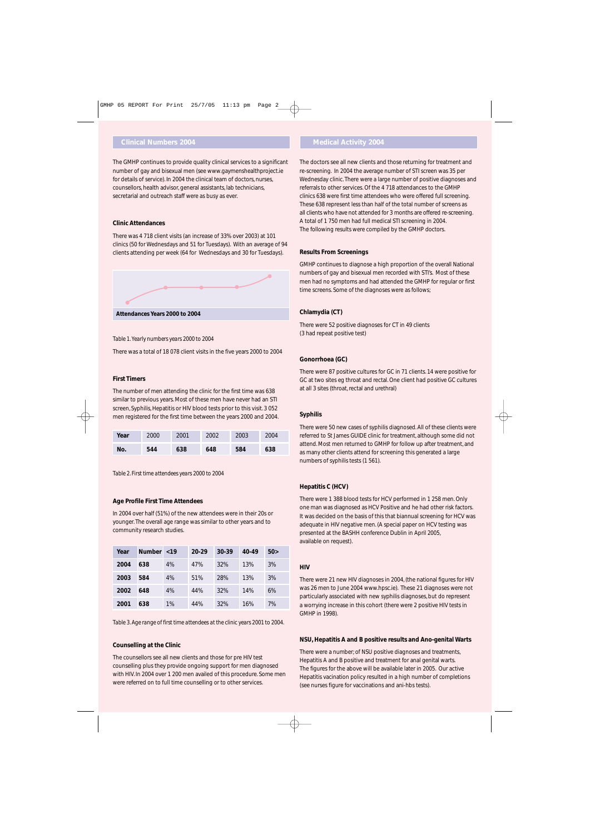# **Clinical Numbers 2004 Medical Activity 2004**

The GMHP continues to provide quality clinical services to a significant number of gay and bisexual men (see www.gaymenshealthproject.ie for details of service). In 2004 the clinical team of doctors, nurses, counsellors, health advisor, general assistants, lab technicians, secretarial and outreach staff were as busy as ever.

#### **Clinic Attendances**

There was 4 718 client visits (an increase of 33% over 2003) at 101 clinics (50 for Wednesdays and 51 for Tuesdays). With an average of 94 clients attending per week (64 for Wednesdays and 30 for Tuesdays).



#### *Table 1. Yearly numbers years 2000 to 2004*

There was a total of 18 078 client visits in the five years 2000 to 2004

#### **First Timers**

The number of men attending the clinic for the first time was 638 similar to previous years. Most of these men have never had an STI screen, Syphilis, Hepatitis or HIV blood tests prior to this visit. 3 052 men registered for the first time between the years 2000 and 2004.

| Year | 2000 | 2001 | 2002 | 2003 | 2004 |
|------|------|------|------|------|------|
| No.  | 544  | 638  | 648  | 584  | 638  |

*Table 2. First time attendees years 2000 to 2004*

#### **Age Profile First Time Attendees**

In 2004 over half (51%) of the new attendees were in their 20s or younger. The overall age range was similar to other years and to community research studies.

| Year | Number <19 |    | $20 - 29$ | $30-39$ | 40-49 | 50> |
|------|------------|----|-----------|---------|-------|-----|
| 2004 | 638        | 4% | 47%       | 32%     | 13%   | 3%  |
| 2003 | 584        | 4% | 51%       | 28%     | 13%   | 3%  |
| 2002 | 648        | 4% | 44%       | 32%     | 14%   | 6%  |
| 2001 | 638        | 1% | 44%       | 32%     | 16%   | 7%  |

*Table 3. Age range of first time attendees at the clinic years 2001 to 2004.*

#### **Counselling at the Clinic**

The counsellors see all new clients and those for pre HIV test counselling plus they provide ongoing support for men diagnosed with HIV. In 2004 over 1 200 men availed of this procedure. Some men were referred on to full time counselling or to other services.

The doctors see all new clients and those returning for treatment and re-screening. In 2004 the average number of STI screen was 35 per Wednesday clinic. There were a large number of positive diagnoses and referrals to other services. Of the 4 718 attendances to the GMHP clinics 638 were first time attendees who were offered full screening. These 638 represent less than half of the total number of screens as all clients who have not attended for 3 months are offered re-screening. A total of 1 750 men had full medical STI screening in 2004. The following results were compiled by the GMHP doctors.

#### **Results From Screenings**

GMHP continues to diagnose a high proportion of the overall National numbers of gay and bisexual men recorded with STI's. Most of these men had no symptoms and had attended the GMHP for regular or first time screens. Some of the diagnoses were as follows;

### **Chlamydia (CT)**

There were 52 positive diagnoses for CT in 49 clients (3 had repeat positive test)

### **Gonorrhoea (GC)**

There were 87 positive cultures for GC in 71 clients. 14 were positive for GC at two sites eg throat and rectal. One client had positive GC cultures at all 3 sites (throat, rectal and urethral)

### **Syphilis**

There were 50 new cases of syphilis diagnosed. All of these clients were referred to St James GUIDE clinic for treatment, although some did not attend. Most men returned to GMHP for follow up after treatment, and as many other clients attend for screening this generated a large numbers of syphilis tests (1 561).

## **Hepatitis C (HCV)**

There were 1 388 blood tests for HCV performed in 1 258 men. Only one man was diagnosed as HCV Positive and he had other risk factors. It was decided on the basis of this that biannual screening for HCV was adequate in HIV negative men. (A special paper on HCV testing was presented at the BASHH conference Dublin in April 2005, available on request).

#### **HIV**

There were 21 new HIV diagnoses in 2004, (the national figures for HIV was 26 men to June 2004 www.hpsc.ie). These 21 diagnoses were not particularly associated with new syphilis diagnoses, but do represent a worrying increase in this cohort (there were 2 positive HIV tests in GMHP in 1998).

#### **NSU, Hepatitis A and B positive results and Ano-genital Warts**

There were a number; of NSU positive diagnoses and treatments, Hepatitis A and B positive and treatment for anal genital warts. The figures for the above will be available later in 2005. Our active Hepatitis vacination policy resulted in a high number of completions (see nurses figure for vaccinations and ani-hbs tests).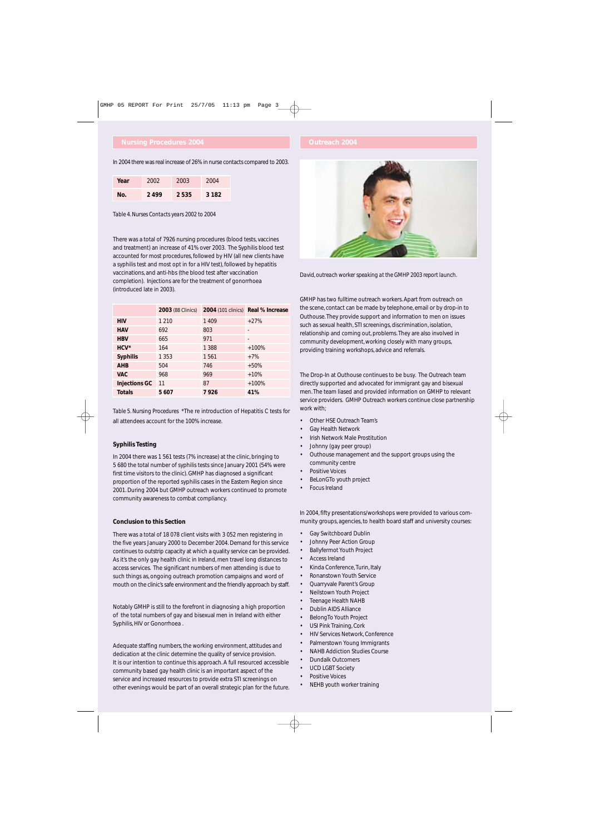# **Nursing Procedures 2004 Outreach 2004**

In 2004 there was real increase of 26% in nurse contacts compared to 2003.

| Year | 2002 | 2003 | 2004    |
|------|------|------|---------|
| Nο.  | 2499 | 2535 | 3 1 8 2 |

*Table 4. Nurses Contacts years 2002 to 2004*

There was a total of 7926 nursing procedures (blood tests, vaccines and treatment) an increase of 41% over 2003. The Syphilis blood test accounted for most procedures, followed by HIV (all new clients have a syphilis test and most opt in for a HIV test), followed by hepatitis vaccinations, and anti-hbs (the blood test after vaccination completion). Injections are for the treatment of gonorrhoea (introduced late in 2003).

|                      | <b>2003</b> (88 Clinics) |         | 2004 (101 clinics) Real % Increase |
|----------------------|--------------------------|---------|------------------------------------|
| <b>HIV</b>           | 1 2 1 0                  | 1409    | $+27%$                             |
| <b>HAV</b>           | 692                      | 803     |                                    |
| <b>HBV</b>           | 665                      | 971     | $\qquad \qquad \blacksquare$       |
| $HCV^*$              | 164                      | 1 3 8 8 | $+100%$                            |
| <b>Syphilis</b>      | 1 3 5 3                  | 1561    | $+7%$                              |
| <b>AHB</b>           | 504                      | 746     | $+50%$                             |
| <b>VAC</b>           | 968                      | 969     | $+10%$                             |
| <b>Injections GC</b> | 11                       | 87      | $+100%$                            |
| <b>Totals</b>        | 5607                     | 7926    | 41%                                |

*Table 5. Nursing Procedures* \*The re introduction of Hepatitis C tests for all attendees account for the 100% increase.

## **Syphilis Testing**

In 2004 there was 1 561 tests (7% increase) at the clinic, bringing to 5 680 the total number of syphilis tests since January 2001 (54% were first time visitors to the clinic). GMHP has diagnosed a significant proportion of the reported syphilis cases in the Eastern Region since 2001. During 2004 but GMHP outreach workers continued to promote community awareness to combat compliancy.

## **Conclusion to this Section**

There was a total of 18 078 client visits with 3 052 men registering in the five years January 2000 to December 2004. Demand for this service continues to outstrip capacity at which a quality service can be provided. As it's the only gay health clinic in Ireland, men travel long distances to access services. The significant numbers of men attending is due to such things as, ongoing outreach promotion campaigns and word of mouth on the clinic's safe environment and the friendly approach by staff.

Notably GMHP is still to the forefront in diagnosing a high proportion of the total numbers of gay and bisexual men in Ireland with either Syphilis, HIV or Gonorrhoea .

Adequate staffing numbers, the working environment, attitudes and dedication at the clinic determine the quality of service provision. It is our intention to continue this approach. A full resourced accessible community based gay health clinic is an important aspect of the service and increased resources to provide extra STI screenings on other evenings would be part of an overall strategic plan for the future.



*David, outreach worker speaking at the GMHP 2003 report launch.*

GMHP has two fulltime outreach workers. Apart from outreach on the scene, contact can be made by telephone, email or by drop-in to Outhouse. They provide support and information to men on issues such as sexual health, STI screenings, discrimination, isolation, relationship and coming out, problems. They are also involved in community development, working closely with many groups, providing training workshops, advice and referrals.

The Drop-In at Outhouse continues to be busy. The Outreach team directly supported and advocated for immigrant gay and bisexual men. The team liased and provided information on GMHP to relevant service providers. GMHP Outreach workers continue close partnership work with;

- Other HSE Outreach Team's
- Gay Health Network
- Irish Network Male Prostitution
- Johnny (gay peer group)
- Outhouse management and the support groups using the community centre
- Positive Voices
- BeLonGTo youth project
- Focus Ireland

In 2004, fifty presentations/workshops were provided to various community groups, agencies, to health board staff and university courses:

- Gay Switchboard Dublin
- Johnny Peer Action Group
- Ballyfermot Youth Project
- Access Ireland
- Kinda Conference, Turin, Italy
- Ronanstown Youth Service
- Quarryvale Parent's Group
- Neilstown Youth Project
- Teenage Health NAHB
- Dublin AIDS Alliance
- BelongTo Youth Project
- USI Pink Training, Cork
- HIV Services Network, Conference
- Palmerstown Young Immigrants
- NAHB Addiction Studies Course
- Dundalk Outcomers
- UCD LGBT Society
- Positive Voices
- NEHB youth worker training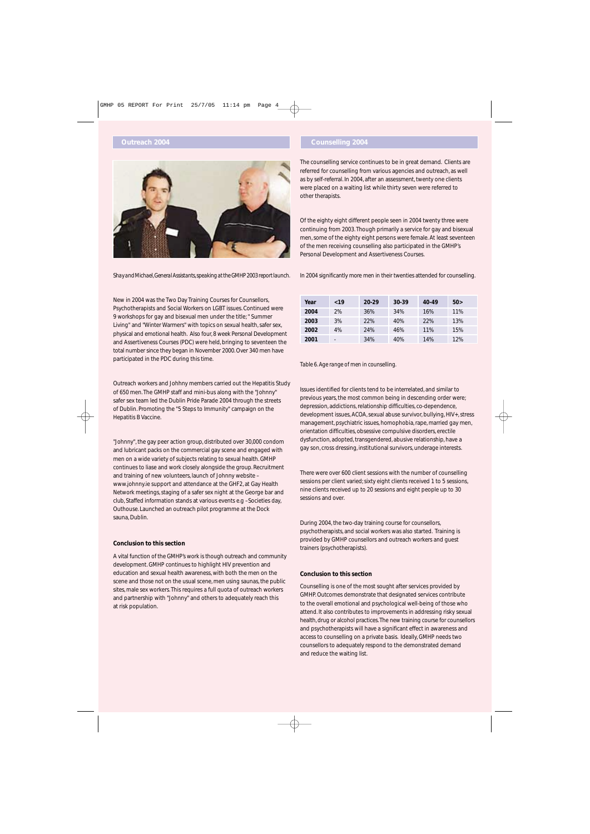# **Outreach 2004 Counselling 2004**



*Shay and Michael,General Assistants,speaking at the GMHP 2003 report launch.*

New in 2004 was the Two Day Training Courses for Counsellors, Psychotherapists and Social Workers on LGBT issues. Continued were 9 workshops for gay and bisexual men under the title; " Summer Living" and "Winter Warmers" with topics on sexual health, safer sex, physical and emotional health. Also four, 8 week Personal Development and Assertiveness Courses (PDC) were held, bringing to seventeen the total number since they began in November 2000. Over 340 men have participated in the PDC during this time.

Outreach workers and Johhny members carried out the Hepatitis Study of 650 men. The GMHP staff and mini-bus along with the "Johnny" safer sex team led the Dublin Pride Parade 2004 through the streets of Dublin. Promoting the "5 Steps to Immunity" campaign on the Hepatitis B Vaccine.

"Johnny", the gay peer action group, distributed over 30,000 condom and lubricant packs on the commercial gay scene and engaged with men on a wide variety of subjects relating to sexual health. GMHP continues to liase and work closely alongside the group. Recruitment and training of new volunteers, launch of Johnny website – www.johnny.ie support and attendance at the GHF2, at Gay Health Network meetings, staging of a safer sex night at the George bar and club, Staffed information stands at various events e.g –Societies day, Outhouse. Launched an outreach pilot programme at the Dock sauna, Dublin.

## **Conclusion to this section**

A vital function of the GMHP's work is though outreach and community development. GMHP continues to highlight HIV prevention and education and sexual health awareness, with both the men on the scene and those not on the usual scene, men using saunas, the public sites, male sex workers. This requires a full quota of outreach workers and partnership with "Johnny" and others to adequately reach this at risk population.

The counselling service continues to be in great demand. Clients are referred for counselling from various agencies and outreach, as well as by self-referral. In 2004, after an assessment, twenty one clients were placed on a waiting list while thirty seven were referred to other therapists.

Of the eighty eight different people seen in 2004 twenty three were continuing from 2003. Though primarily a service for gay and bisexual men, some of the eighty eight persons were female. At least seventeen of the men receiving counselling also participated in the GMHP's Personal Development and Assertiveness Courses.

In 2004 significantly more men in their twenties attended for counselling.

| Year | ~19                      | 20-29 | 30-39 | 40-49 | 50> |
|------|--------------------------|-------|-------|-------|-----|
| 2004 | 2%                       | 36%   | 34%   | 16%   | 11% |
| 2003 | 3%                       | 22%   | 40%   | 22%   | 13% |
| 2002 | 4%                       | 24%   | 46%   | 11%   | 15% |
| 2001 | $\overline{\phantom{a}}$ | 34%   | 40%   | 14%   | 12% |

*Table 6. Age range of men in counselling.*

Issues identified for clients tend to be interrelated, and similar to previous years, the most common being in descending order were; depression, addictions, relationship difficulties, co-dependence, development issues, ACOA, sexual abuse survivor, bullying, HIV+, stress management, psychiatric issues, homophobia, rape, married gay men, orientation difficulties, obsessive compulsive disorders, erectile dysfunction, adopted, transgendered, abusive relationship, have a gay son, cross dressing, institutional survivors, underage interests.

There were over 600 client sessions with the number of counselling sessions per client varied; sixty eight clients received 1 to 5 sessions, nine clients received up to 20 sessions and eight people up to 30 sessions and over.

During 2004, the two-day training course for counsellors, psychotherapists, and social workers was also started. Training is provided by GMHP counsellors and outreach workers and guest trainers (psychotherapists).

# **Conclusion to this section**

Counselling is one of the most sought after services provided by GMHP. Outcomes demonstrate that designated services contribute to the overall emotional and psychological well-being of those who attend. It also contributes to improvements in addressing risky sexual health, drug or alcohol practices.The new training course for counsellors and psychotherapists will have a significant effect in awareness and access to counselling on a private basis. Ideally, GMHP needs two counsellors to adequately respond to the demonstrated demand and reduce the waiting list.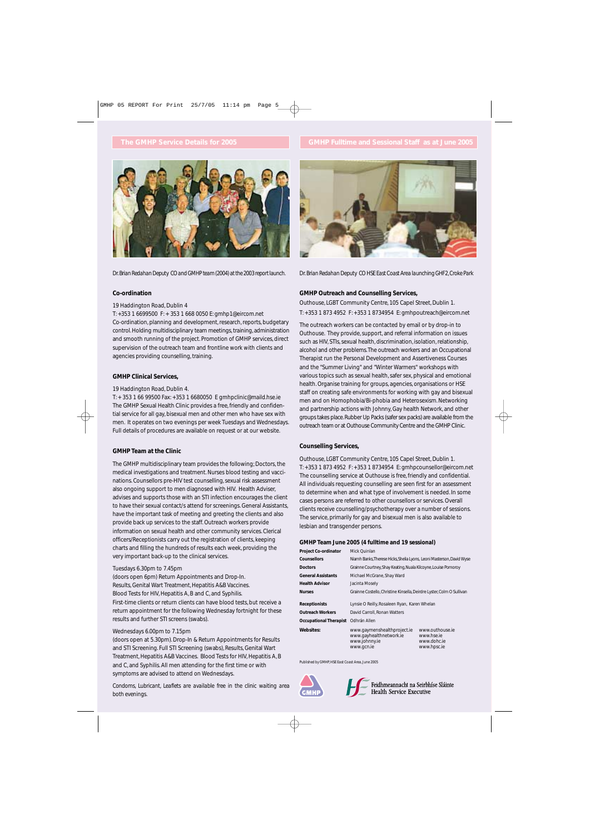

*Dr.Brian Redahan Deputy CO and GMHP team (2004) at the 2003 report launch.*

### **Co-ordination**

### 19 Haddington Road, Dublin 4

T: +353 1 6699500 F: + 353 1 668 0050 E: gmhp1@eircom.net Co-ordination, planning and development, research, reports, budgetary control. Holding multidisciplinary team meetings, training, administration and smooth running of the project. Promotion of GMHP services, direct supervision of the outreach team and frontline work with clients and agencies providing counselling, training.

## **GMHP Clinical Services,**

#### 19 Haddington Road, Dublin 4.

T: + 353 1 66 99500 Fax: +353 1 6680050 E gmhpclinic@maild.hse.ie The GMHP Sexual Health Clinic provides a free, friendly and confidential service for all gay, bisexual men and other men who have sex with men. It operates on two evenings per week Tuesdays and Wednesdays. Full details of procedures are available on request or at our website.

## **GMHP Team at the Clinic**

The GMHP multidisciplinary team provides the following; Doctors, the medical investigations and treatment. Nurses blood testing and vaccinations. Counsellors pre-HIV test counselling, sexual risk assessment also ongoing support to men diagnosed with HIV. Health Adviser, advises and supports those with an STI infection encourages the client to have their sexual contact/s attend for screenings. General Assistants, have the important task of meeting and greeting the clients and also provide back up services to the staff. Outreach workers provide information on sexual health and other community services. Clerical officers/Receptionists carry out the registration of clients, keeping charts and filling the hundreds of results each week, providing the very important back-up to the clinical services.

#### Tuesdays 6.30pm to 7.45pm

(doors open 6pm) Return Appointments and Drop-In. Results, Genital Wart Treatment, Hepatitis A&B Vaccines. Blood Tests for HIV, Hepatitis A, B and C, and Syphilis. First-time clients or return clients can have blood tests, but receive a return appointment for the following Wednesday fortnight for these results and further STI screens (swabs).

### Wednesdays 6.00pm to 7.15pm

(doors open at 5.30pm). Drop-In & Return Appointments for Results and STI Screening. Full STI Screening (swabs), Results, Genital Wart Treatment, Hepatitis A&B Vaccines. Blood Tests for HIV, Hepatitis A, B and C, and Syphilis. All men attending for the first time or with symptoms are advised to attend on Wednesdays.

*Condoms, Lubricant, Leaflets are available free in the clinic waiting area both evenings.*



*Dr.Brian Redahan Deputy CO HSE East Coast Area launching GHF2,Croke Park*

### **GMHP Outreach and Counselling Services,**

Outhouse, LGBT Community Centre, 105 Capel Street, Dublin 1. T: +353 1 873 4952 F: +353 1 8734954 E: gmhpoutreach@eircom.net

The outreach workers can be contacted by email or by drop-in to Outhouse. They provide, support, and referral information on issues such as HIV, STIs, sexual health, discrimination, isolation, relationship, alcohol and other problems.The outreach workers and an Occupational Therapist run the Personal Development and Assertiveness Courses and the "Summer Living" and "Winter Warmers" workshops with various topics such as sexual health, safer sex, physical and emotional health. Organise training for groups, agencies, organisations or HSE staff on creating safe environments for working with gay and bisexual men and on Homophobia/Bi-phobia and Heterosexism. Networking and partnership actions with Johnny, Gay health Network, and other groups takes place.Rubber Up Packs (safer sex packs) are available from the outreach team or at Outhouse Community Centre and the GMHP Clinic.

## **Counselling Services,**

Outhouse, LGBT Community Centre, 105 Capel Street, Dublin 1. T: +353 1 873 4952 F: +353 1 8734954 E: gmhpcounsellor@eircom.net The counselling service at Outhouse is free, friendly and confidential. All individuals requesting counselling are seen first for an assessment to determine when and what type of involvement is needed. In some cases persons are referred to other counsellors or services. Overall clients receive counselling/psychotherapy over a number of sessions. The service, primarily for gay and bisexual men is also available to lesbian and transgender persons.

#### **GMHP Team June 2005 (4 fulltime and 19 sessional)**

| <b>Project Co-ordinator</b>   | Mick Quinlan                                                                          |                                                             |  |  |
|-------------------------------|---------------------------------------------------------------------------------------|-------------------------------------------------------------|--|--|
| <b>Counsellors</b>            | Niamh Banks, Therese Hicks, Shelia Lyons, Leoni Masterson, David Wyse                 |                                                             |  |  |
| <b>Doctors</b>                | Grainne Courtney, Shay Keating, Nuala Kilcoyne, Louise Pomoroy                        |                                                             |  |  |
| <b>General Assistants</b>     | Michael McGrane, Shay Ward                                                            |                                                             |  |  |
| <b>Health Advisor</b>         | Jacinta Mosely                                                                        |                                                             |  |  |
| <b>Nurses</b>                 | Grainne Costello, Christine Kinsella, Deirdre Lyster, Colm O Sullivan                 |                                                             |  |  |
| <b>Receptionists</b>          | Lynsie O Reilly, Rosaleen Ryan, Karen Whelan                                          |                                                             |  |  |
| <b>Outreach Workers</b>       | David Carroll, Ronan Watters                                                          |                                                             |  |  |
| <b>Occupational Therapist</b> | Odhrán Allen                                                                          |                                                             |  |  |
| Websites:                     | www.gaymenshealthproject.ie<br>www.gayhealthnetwork.ie<br>www.johnny.ie<br>www.gcn.ie | www.outhouse.je<br>www.hse.je<br>www.dohc.je<br>www.hpsc.ie |  |  |

*Published by GMHP, HSE East Coast Area, June 2005*





Feidhmeannacht na Seirbhíse Sláinte<br>Health Service Executive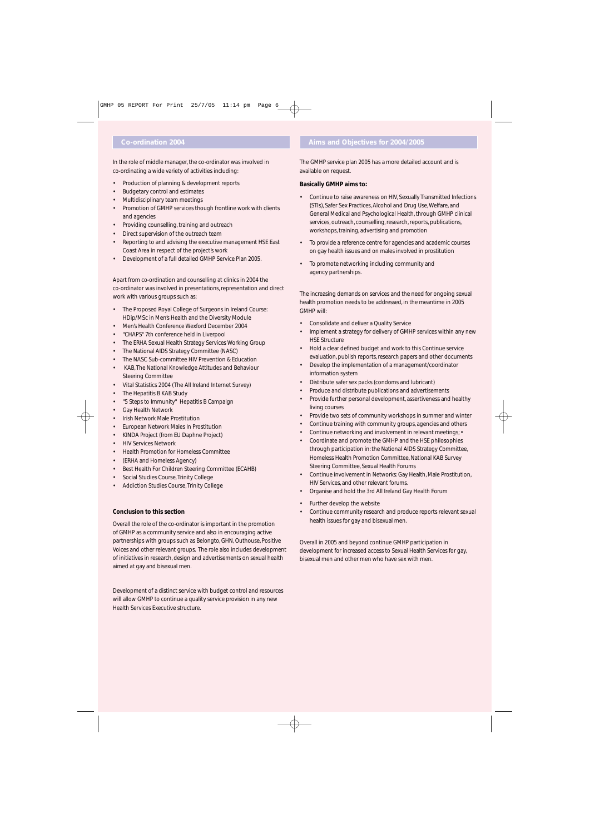In the role of middle manager, the co-ordinator was involved in co-ordinating a wide variety of activities including:

- Production of planning & development reports
- Budgetary control and estimates
- Multidisciplinary team meetings
- Promotion of GMHP services though frontline work with clients and agencies
- Providing counselling, training and outreach
- Direct supervision of the outreach team
- Reporting to and advising the executive management HSE East Coast Area in respect of the project's work
- Development of a full detailed GMHP Service Plan 2005.

Apart from co-ordination and counselling at clinics in 2004 the co-ordinator was involved in presentations, representation and direct work with various groups such as;

- The Proposed Royal College of Surgeons in Ireland Course: HDip/MSc in Men's Health and the Diversity Module
- Men's Health Conference Wexford December 2004
- "CHAPS" 7th conference held in Liverpool
- The ERHA Sexual Health Strategy Services Working Group
- The National AIDS Strategy Committee (NASC)
- The NASC Sub-committee HIV Prevention & Education
- KAB, The National Knowledge Attitudes and Behaviour Steering Committee
- Vital Statistics 2004 (The All Ireland Internet Survey)
- The Hepatitis B KAB Study
- "5 Steps to Immunity" Hepatitis B Campaign
- Gay Health Network
- Irish Network Male Prostitution
- European Network Males In Prostitution
- KINDA Project (from EU Daphne Project)
- **HIV Services Network**
- Health Promotion for Homeless Committee
- (ERHA and Homeless Agency)
- Best Health For Children Steering Committee (ECAHB)
- Social Studies Course, Trinity College
- Addiction Studies Course, Trinity College

# **Conclusion to this section**

Overall the role of the co-ordinator is important in the promotion of GMHP as a community service and also in encouraging active partnerships with groups such as Belongto, GHN, Outhouse, Positive Voices and other relevant groups. The role also includes development of initiatives in research, design and advertisements on sexual health aimed at gay and bisexual men.

Development of a distinct service with budget control and resources will allow GMHP to continue a quality service provision in any new Health Services Executive structure.

# **Co-ordination 2004 Aims and Objectives for 2004/2005**

The GMHP service plan 2005 has a more detailed account and is available on request.

## **Basically GMHP aims to:**

- Continue to raise awareness on HIV, Sexually Transmitted Infections (STIs), Safer Sex Practices, Alcohol and Drug Use, Welfare, and General Medical and Psychological Health, through GMHP clinical services, outreach, counselling, research, reports, publications, workshops, training, advertising and promotion
- To provide a reference centre for agencies and academic courses on gay health issues and on males involved in prostitution
- To promote networking including community and agency partnerships.

The increasing demands on services and the need for ongoing sexual health promotion needs to be addressed, in the meantime in 2005 GMHP will:

- Consolidate and deliver a Quality Service
- Implement a strategy for delivery of GMHP services within any new HSE Structure
- Hold a clear defined budget and work to this Continue service evaluation, publish reports, research papers and other documents
- Develop the implementation of a management/coordinator information system
- Distribute safer sex packs (condoms and lubricant)
- Produce and distribute publications and advertisements
- Provide further personal development, assertiveness and healthy living courses
- Provide two sets of community workshops in summer and winter
- Continue training with community groups, agencies and others
- Continue networking and involvement in relevant meetings; •
- Coordinate and promote the GMHP and the HSE philosophies through participation in: the National AIDS Strategy Committee, Homeless Health Promotion Committee, National KAB Survey Steering Committee, Sexual Health Forums
- Continue involvement in Networks: Gay Health, Male Prostitution, HIV Services, and other relevant forums.
- Organise and hold the 3rd All Ireland Gay Health Forum
- Further develop the website
- Continue community research and produce reports relevant sexual health issues for gay and bisexual men.

Overall in 2005 and beyond continue GMHP participation in development for increased access to Sexual Health Services for gay, bisexual men and other men who have sex with men.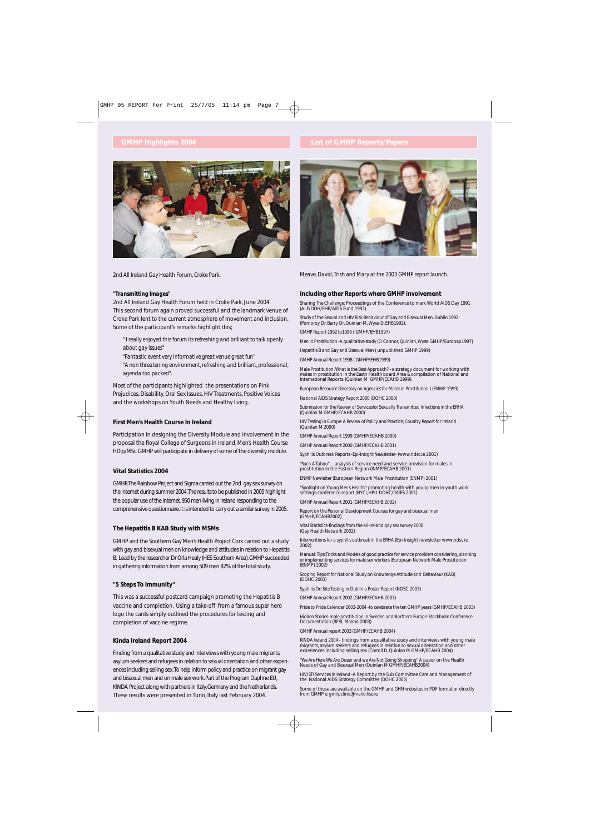

*2nd All Ireland Gay Health Forum, Croke Park.*

#### *"Transmitting Images"*

2nd All Ireland Gay Health Forum held in Croke Park, June 2004. This second forum again proved successful and the landmark venue of Croke Park lent to the current atmosphere of movement and inclusion. Some of the participant's remarks highlight this;

*" I really enjoyed this forum its refreshing and brilliant to talk openly about gay issues"*

*"Fantastic event very informative great venue great fun" "A non threatening environment, refreshing and brilliant, professional, agenda too packed".*

Most of the participants highlighted the presentations on Pink Prejudices, Disability, Oral Sex Issues, HIV Treatments, Positive Voices and the workshops on Youth Needs and Healthy living.

## **First Men's Health Course In Ireland**

Participation in designing the Diversity Module and involvement in the proposal the Royal College of Surgeons in Ireland, Men's Health Course HDip/MSc.GMHP will participate in delivery of some of the diversity module.

### **Vital Statistics 2004**

GMHP,The Rainbow Project and Sigma carried out the 2nd gay sex survey on the internet during summer 2004.The results to be published in 2005 highlight the popular use of the Internet.950 men living in Ireland responding to the comprehensive questionnaire.It is intended to carry out a similar survey in 2005.

#### **The Hepatitis B KAB Study with MSMs**

GMHP and the Southern Gay Men's Health Project Cork carried out a study with gay and bisexual men on knowledge and attitudes in relation to Hepatitis B. Lead by the researcher Dr Orla Healy (HES Southern Area).GMHP succeeded in gathering information from among 509 men 82% of the total study.

### **"5 Steps To Immunity"**

This was a successful postcard campaign promoting the Hepatitis B vaccine and completion. Using a take-off from a famous super hero logo the cards simply outlined the procedures for testing and completion of vaccine regime.

#### **Kinda Ireland Report 2004**

Finding from a qualitative study and interviews with young male migrants, asylum seekers and refugees in relation to sexual orientation and other experiences including selling sex.To help inform policy and practice on migrant gay and bisexual men and on male sex work.Part of the Program Daphne EU, KINDA Project along with partners in Italy,Germany and the Netherlands. These results were presented in Turin, Italy last February 2004.



*Meave, David, Trish and Mary at the 2003 GMHP report launch.*

#### **Including other Reports where GMHP involvement**

*Sharing The Challenge:* Proceedings of the Conference to mark World AIDS Day 1991 (ALF/DOH/EHB/AIDS Fund 1992)

*Study of the Sexual and HIV Risk Behaviour of Gay and Bisexual Men. Dublin 1992* (Pomoroy Dr, Barry Dr, Quinlan M, Wyse D. EHB1992).

*GMHP Report 1992 to1996* ( GMHP/EHB1997)

*Men in Prostitution -A qualitative study* (O Connor, Quinlan, Wyse GMHP/Europap1997)

*Hepatitis B and Gay and Bisexual Men* ( unpublished GMHP 1999)

*GMHP Annual Report 1998* ( GMHP/EHB1999)

*Male Prostitution, What is the Best Approach?* –a strategy document for working with<br>males in prostitution in the Eastn Health board Area & compilation of National and International Reports. (Quinlan M GMHP/ECAHB 1999).

*European Resource Directory on Agencies for Males in Prostitution )* (ENMP 1999) *National AIDS Strategy Report 2000* (DOHC 2000)

*Submission for the Review of Servicesfor Sexually Transmitted Infections in the ERHA* (Quinlan M GMHP/ECAHB 2000)

*HIV Testing in Europe: A Review of Policy and Practice; Country Report for Ireland* (Quinlan M 2000)

*GMHP Annual Report 1999* (GMHP/ECAHB 2000)

*GMHP Annual Report 2000* (GMHP/ECAHB 2001)

*Syphilis Outbreak Reports -Epi-Insight Newsletter-* (www.ndsc.ie 2001)

*"Such A Taboo".*. - analysis of service need and service provision for males in prostitution in the Eastern Region (INMP/ECAHB 2001)

*ENMP Newletter* (European Network Male Prostitution (ENMP) 2001)

*"Spotlight on Young Men's Health*"-promoting health with young men in youth work settings-conference report (NYCI, HPU-DOHC/DOES 2001)

*GMHP Annual Report 2001* (GMHP/ECAHB 2002)

*Report on the Personal Development Courses for gay and bisexual men* (GMHP/ECAHB2002)

*Vital Statistics-findings from the all-Ireland gay sex survey 2000* (Gay Health Network 2002)

I*nterventions for a syphilis outbreak in the ERHA* (Epi-Insight newsletter www.ndsc.ie 2002)

*Manual: Tips,Tricks and Models of good practice for service providers considering, planning or implementing services for male sex workers (*European Network Male Prostitution<br>(ENMP) 2002)

*Scoping Report for National Study on Knowledge Attitude and Behaviour* (KAB) (DOHC 2003)

*Syphilis On Site Testing in Dublin a Poster Report* (NDSC 2003)

*GMHP Annual Report 2002* (GMHP/ECAHB 2003)

*Pride to Pride Calendar 2003-2004 -to celebrate the ten GMHP years* (GMHP/ECAHB 2003)

*Hidden Stories-male prostitution in Sweden and Northern Europe-Stockholm Conference Documentation* (RFSL Malmo 2003)

*GMHP Annual report 2003* (GMHP/ECAHB 2004)

*KINDA Ireland 2004* - findings from a qualitative study and interviews with young male migrants, asylum seekers and refugees in relation to sexual orientation and other experiences including selling sex (Carroll D, Quinlan M GMHP/ECAHB 2004)

*"We Are Here We Are Queer and we Are Not Going Shopping"* A paper on the Health Needs of Gay and Bisexual Men (Quinlan M GMHP/ECAHB2004)

*HIV/STI Services in Ireland* -A Report by the Sub Committee Care and Management of the National AIDS Strategy Committee (DOHC 2005)

Some of these are available on the GMHP and GHN websites in PDF format or directly from GMHP *e: gmhpclinic@maild.hse.ie*